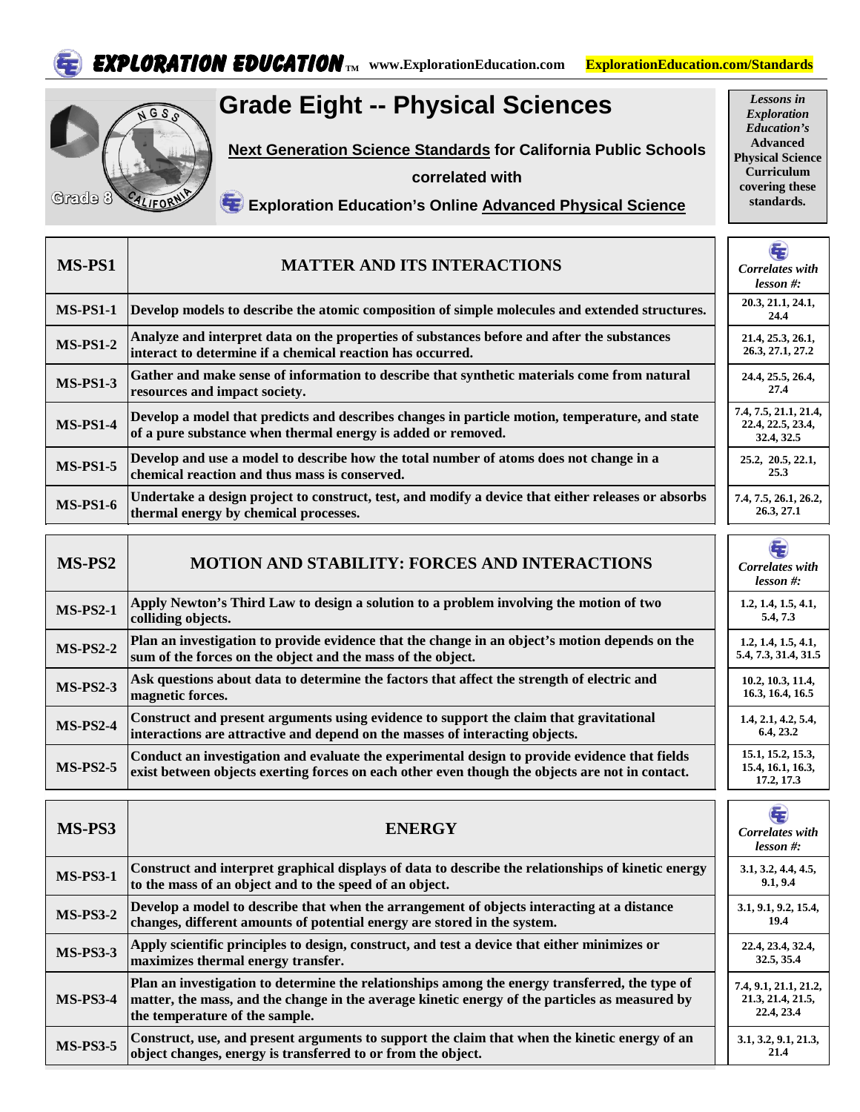



## **Grade Eight -- Physical Sciences**

**Next Generation Science Standards for California Public Schools**

**correlated with** 

*Exploration Education's*  **Advanced Physical Science Curriculum covering these standards.**

*Lessons in* 

## **Exploration Education's Online Advanced Physical Science**

| MS-PS1          | <b>MATTER AND ITS INTERACTIONS</b>                                                                                                                                                                                                 | Correlates with<br>$less on #:$                          |
|-----------------|------------------------------------------------------------------------------------------------------------------------------------------------------------------------------------------------------------------------------------|----------------------------------------------------------|
| <b>MS-PS1-1</b> | Develop models to describe the atomic composition of simple molecules and extended structures.                                                                                                                                     | 20.3, 21.1, 24.1,<br>24.4                                |
| <b>MS-PS1-2</b> | Analyze and interpret data on the properties of substances before and after the substances<br>interact to determine if a chemical reaction has occurred.                                                                           | 21.4, 25.3, 26.1,<br>26.3, 27.1, 27.2                    |
| <b>MS-PS1-3</b> | Gather and make sense of information to describe that synthetic materials come from natural<br>resources and impact society.                                                                                                       | 24.4, 25.5, 26.4,<br>27.4                                |
| <b>MS-PS1-4</b> | Develop a model that predicts and describes changes in particle motion, temperature, and state<br>of a pure substance when thermal energy is added or removed.                                                                     | 7.4, 7.5, 21.1, 21.4,<br>22.4, 22.5, 23.4,<br>32.4, 32.5 |
| <b>MS-PS1-5</b> | Develop and use a model to describe how the total number of atoms does not change in a<br>chemical reaction and thus mass is conserved.                                                                                            | 25.2, 20.5, 22.1,<br>25.3                                |
| <b>MS-PS1-6</b> | Undertake a design project to construct, test, and modify a device that either releases or absorbs<br>thermal energy by chemical processes.                                                                                        | 7.4, 7.5, 26.1, 26.2,<br>26.3, 27.1                      |
|                 |                                                                                                                                                                                                                                    | ŧ                                                        |
| MS-PS2          | <b>MOTION AND STABILITY: FORCES AND INTERACTIONS</b>                                                                                                                                                                               | Correlates with<br>lesson #:                             |
| <b>MS-PS2-1</b> | Apply Newton's Third Law to design a solution to a problem involving the motion of two<br>colliding objects.                                                                                                                       | 1.2, 1.4, 1.5, 4.1,<br>5.4, 7.3                          |
| <b>MS-PS2-2</b> | Plan an investigation to provide evidence that the change in an object's motion depends on the<br>sum of the forces on the object and the mass of the object.                                                                      | 1.2, 1.4, 1.5, 4.1,<br>5.4, 7.3, 31.4, 31.5              |
| <b>MS-PS2-3</b> | Ask questions about data to determine the factors that affect the strength of electric and<br>magnetic forces.                                                                                                                     | 10.2, 10.3, 11.4,<br>16.3, 16.4, 16.5                    |
| <b>MS-PS2-4</b> | Construct and present arguments using evidence to support the claim that gravitational<br>interactions are attractive and depend on the masses of interacting objects.                                                             | 1.4, 2.1, 4.2, 5.4,<br>6.4, 23.2                         |
| <b>MS-PS2-5</b> | Conduct an investigation and evaluate the experimental design to provide evidence that fields<br>exist between objects exerting forces on each other even though the objects are not in contact.                                   | 15.1, 15.2, 15.3,<br>15.4, 16.1, 16.3,<br>17.2, 17.3     |
| MS-PS3          | <b>ENERGY</b>                                                                                                                                                                                                                      | G<br>Correlates with<br>lesson #:                        |
| <b>MS-PS3-1</b> | Construct and interpret graphical displays of data to describe the relationships of kinetic energy<br>to the mass of an object and to the speed of an object.                                                                      | 3.1, 3.2, 4.4, 4.5,<br>9.1, 9.4                          |
| <b>MS-PS3-2</b> | Develop a model to describe that when the arrangement of objects interacting at a distance<br>changes, different amounts of potential energy are stored in the system.                                                             | 3.1, 9.1, 9.2, 15.4,<br>19.4                             |
| <b>MS-PS3-3</b> | Apply scientific principles to design, construct, and test a device that either minimizes or<br>maximizes thermal energy transfer.                                                                                                 | 22.4, 23.4, 32.4,<br>32.5, 35.4                          |
| <b>MS-PS3-4</b> | Plan an investigation to determine the relationships among the energy transferred, the type of<br>matter, the mass, and the change in the average kinetic energy of the particles as measured by<br>the temperature of the sample. | 7.4, 9.1, 21.1, 21.2,<br>21.3, 21.4, 21.5,<br>22.4, 23.4 |
| <b>MS-PS3-5</b> | Construct, use, and present arguments to support the claim that when the kinetic energy of an<br>object changes, energy is transferred to or from the object.                                                                      | 3.1, 3.2, 9.1, 21.3,<br>21.4                             |
|                 |                                                                                                                                                                                                                                    |                                                          |